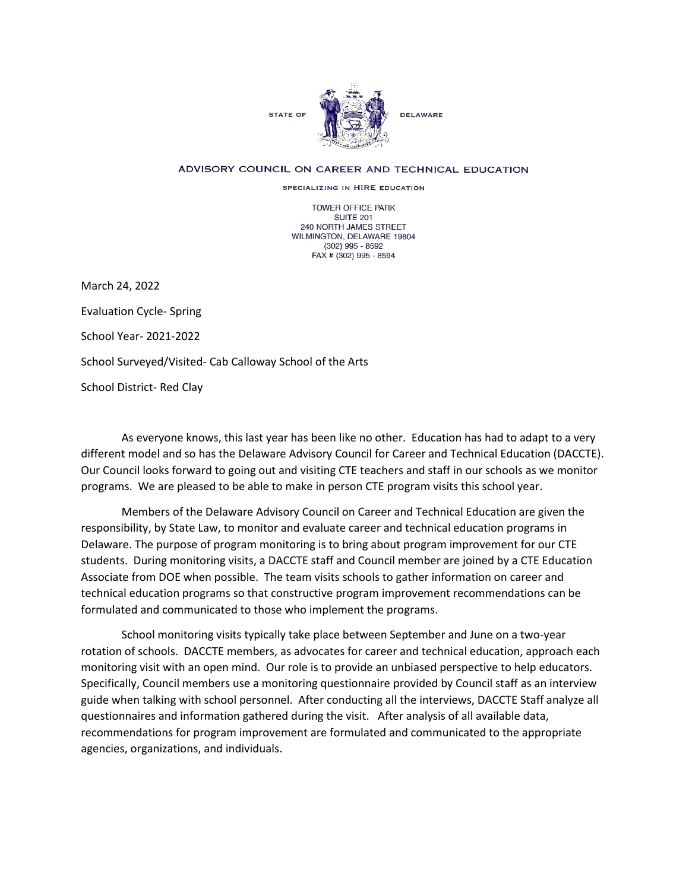

## ADVISORY COUNCIL ON CAREER AND TECHNICAL EDUCATION

SPECIALIZING IN HIRE EDUCATION

TOWER OFFICE PARK SUITE 201 240 NORTH JAMES STREET WILMINGTON, DELAWARE 19804 (302) 995 - 8592 FAX # (302) 995 - 8594

March 24, 2022 Evaluation Cycle- Spring School Year- 2021-2022 School Surveyed/Visited- Cab Calloway School of the Arts School District- Red Clay

As everyone knows, this last year has been like no other. Education has had to adapt to a very different model and so has the Delaware Advisory Council for Career and Technical Education (DACCTE). Our Council looks forward to going out and visiting CTE teachers and staff in our schools as we monitor programs. We are pleased to be able to make in person CTE program visits this school year.

Members of the Delaware Advisory Council on Career and Technical Education are given the responsibility, by State Law, to monitor and evaluate career and technical education programs in Delaware. The purpose of program monitoring is to bring about program improvement for our CTE students. During monitoring visits, a DACCTE staff and Council member are joined by a CTE Education Associate from DOE when possible. The team visits schools to gather information on career and technical education programs so that constructive program improvement recommendations can be formulated and communicated to those who implement the programs.

School monitoring visits typically take place between September and June on a two-year rotation of schools. DACCTE members, as advocates for career and technical education, approach each monitoring visit with an open mind. Our role is to provide an unbiased perspective to help educators. Specifically, Council members use a monitoring questionnaire provided by Council staff as an interview guide when talking with school personnel. After conducting all the interviews, DACCTE Staff analyze all questionnaires and information gathered during the visit. After analysis of all available data, recommendations for program improvement are formulated and communicated to the appropriate agencies, organizations, and individuals.